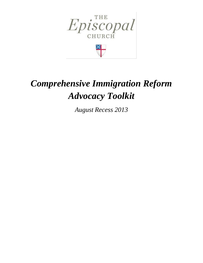



# *Comprehensive Immigration Reform Advocacy Toolkit*

*August Recess 2013*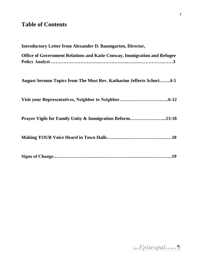# **Table of Contents**

| <b>Introductory Letter from Alexander D. Baumgarten, Director,</b>              |
|---------------------------------------------------------------------------------|
| <b>Office of Government Relations and Katie Conway, Immigration and Refugee</b> |
| <b>August Sermon Topics from The Most Rev. Katharine Jefferts Schori4-5</b>     |
|                                                                                 |
| Prayer Vigils for Family Unity & Immigration Reform13-18                        |
|                                                                                 |
|                                                                                 |



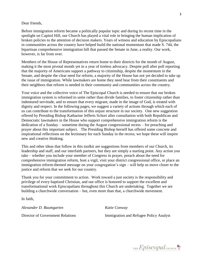#### Dear friends,

Before immigration reform became a politically popular topic and during its recent time in the spotlight on Capitol Hill, our Church has played a vital role in bringing the human implication of broken policies to the attention of decision makers. Years of witness and education by Episcopalians in communities across the country have helped build the national momentum that made S. 744, the bipartisan comprehensive immigration bill that passed the Senate in June, a reality. Our work, however, is far from over.

Members of the House of Representatives return home to their districts for the month of August, making it the most pivotal month yet in a year of tireless advocacy. Despite poll after poll reporting that the majority of Americans support a pathway to citizenship, despite the momentum in the Senate, and despite the clear need for reform, a majority of the House has not yet decided to take up the issue of immigration. While lawmakers are home they need hear from their constituents and their neighbors that reform is needed in their community and communities across the country.

Your voice and the collective voice of The Episcopal Church is needed to ensure that our broken immigration system is reformed to unite rather than divide families, to foster citizenship rather than indentured servitude, and to ensure that every migrant, made in the image of God, is treated with dignity and respect. In the following pages, we suggest a variety of actions through which each of us can contribute to the transformation of this unjust structure in our society. One new suggestion offered by Presiding Bishop Katharine Jefferts Schori after consultation with both Republican and Democratic lawmakers in the House who support comprehensive immigration reform is the dedication of a Sunday – sometime during the August congressional recess – for preaching and prayer about this important subject. The Presiding Bishop herself has offered some concrete and inspirational reflections on the lectionary for each Sunday in the recess; we hope these will inspire new and creative thinking.

This and other ideas that follow in this toolkit are suggestions from members of our Church, its leadership and staff, and our interfaith partners, but they are simply a starting point. Any action you take – whether you include your member of Congress in prayer, preach about the need for comprehensive immigration reform, host a vigil, visit your district congressional office, or place an immigration reform-themed message on your congregation's sign – will help us move closer to the justice and reform that we seek for our country.

Thank you for your commitment to action. Work toward a just society is the responsibility and privilege of every baptized Christian, and our office is honored to support the excellent and transformational work Episcopalians throughout this Church are undertaking. Together we are building a churchwide conversation – but, even more than that, a churchwide movement.

In faith,

*Alexander D. Baumgarten Katie Conway*

Director of Government Relations Immigration and Refugee Policy Analyst

THE  $Epis copal$ <sub>CHURCH</sub>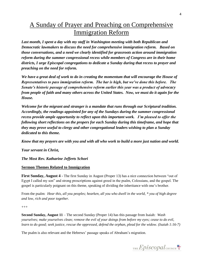# A Sunday of Prayer and Preaching on Comprehensive Immigration Reform

*Last month, I spent a day with my staff in Washington meeting with both Republican and Democratic lawmakers to discuss the need for comprehensive immigration reform. Based on those conversations, and a need we clearly identified for grassroots action around immigration reform during the summer congressional recess while members of Congress are in their home districts, I urge Episcopal congregations to dedicate a Sunday during that recess to prayer and preaching on the need for reform.* 

*We have a great deal of work to do in creating the momentum that will encourage the House of Representatives to pass immigration reform. The bar is high, but we've done this before. The Senate's historic passage of comprehensive reform earlier this year was a product of advocacy from people of faith and many others across the United States. Now, we must do it again for the House.*

*Welcome for the migrant and stranger is a mandate that runs through our Scriptural tradition. Accordingly, the readings appointed for any of the Sundays during the summer congressional recess provide ample opportunity to reflect upon this important work. I'm pleased to offer the following short reflections on the propers for each Sunday during this timeframe, and hope that they may prove useful to clergy and other congregational leaders wishing to plan a Sunday dedicated to this theme.*

*Know that my prayers are with you and with all who work to build a more just nation and world.*

*Your servant in Christ,*

*The Most Rev. Katharine Jefferts Schori* 

# **Sermon Themes Related to Immigration**

**First Sunday, August 4 -** The first Sunday in August (Proper 13) has a nice connection between "out of Egypt I called my son" and strong proscriptions against greed in the psalm, Colossians, and the gospel. The gospel is particularly poignant on this theme, speaking of dividing the inheritance with one's brother.

From the psalm: *Hear this, all you peoples; hearken, all you who dwell in the world, \* you of high degree and low, rich and poor together.*

#### +++

**Second Sunday, August 11** – The second Sunday (Proper 14) has this passage from Isaiah: *Wash yourselves; make yourselves clean; remove the evil of your doings from before my eyes; cease to do evil, learn to do good; seek justice, rescue the oppressed, defend the orphan, plead for the widow. (Isaiah 1:16-7)*

The psalm is also relevant and the Hebrews' passage speaks of Abraham's migration.

THE Episcopal CHURCH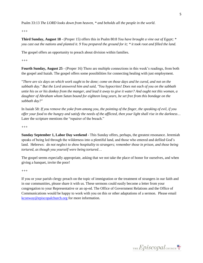Psalm 33:13 *The LORD looks down from heaven, \* and beholds all the people in the world*.

 $^{+++}$ 

**Third Sunday, August 18** - (Proper 15) offers this in Psalm 80:8 *You have brought a vine out of Egypt; \* you cast out the nations and planted it. 9 You prepared the ground for it; \* it took root and filled the land.* 

The gospel offers an opportunity to preach about division within families.

+++

**Fourth Sunday, August 25** - (Proper 16) There are multiple connections in this week's readings, from both the gospel and Isaiah. The gospel offers some possibilities for connecting healing with just employment.

"*There are six days on which work ought to be done; come on those days and be cured, and not on the sabbath day." But the Lord answered him and said, "You hypocrites! Does not each of you on the sabbath untie his ox or his donkey from the manger, and lead it away to give it water? And ought not this woman, a daughter of Abraham whom Satan bound for eighteen long years, be set free from this bondage on the sabbath day?"*

In Isaiah 58: *If you remove the yoke from among you, the pointing of the finger, the speaking of evil, if you offer your food to the hungry and satisfy the needs of the afflicted, then your light shall rise in the darkness…* Later the scripture mentions the "repairer of the breach."

+++

**Sunday September 1, Labor Day weekend** - This Sunday offers, perhaps, the greatest resonance. Jeremiah speaks of being led through the wilderness into a plentiful land, and those who entered and defiled God's land. Hebrews: *do not neglect to show hospitality to strangers; remember those in prison, and those being tortured, as though you yourself were being tortured*…

The gospel seems especially appropriate, asking that we not take the place of honor for ourselves, and when giving a banquet, invite the poor!

 $+++$ 

If you or your parish clergy preach on the topic of immigration or the treatment of strangers in our faith and in our communities, please share it with us. These sermons could easily become a letter from your congregation to your Representative or an op-ed. The Office of Government Relations and the Office of Communications would be happy to work with you on this or other adaptations of a sermon. Please email [kconway@episcopalchurch.org](mailto:kconway@episcopalchurch.org) for more information.

THE Episcopal CHURCH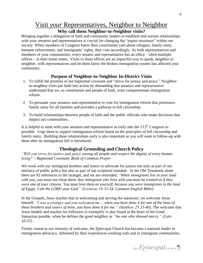# Visit *your* Representatives, Neighbor to Neighbor

# **Why call them Neighbor-to-Neighbor visits?**

Bringing together a delegation of faith and community leaders to establish and nurture relationships with your senators and representatives is crucial for changing the "unjust structures" within our society. When members of Congress know their constituents care about refugees, family unity, humane enforcement, and immigrants' rights, they vote accordingly. As both representatives and members of your communities, every senator and representative has an office – often multiple offices – in their home states. Visits to these offices are an impactful way to speak, neighbor to neighbor, with representatives and let them know the broken immigration system has affected your community.

# **Purpose of Neighbor-to-Neighbor In-District Visits**

- 1. To fulfill the promise of our baptismal covenant and "strive for justice and peace." Neighborto-neighbor visits put faith into action by demanding that senators and representative understand that we, as constituents and people of faith, want compassionate immigration reform.
- 2. To persuade your senators and representative to vote for immigration reform that prioritizes family unity for all families and provides a pathway to full citizenship.
- 3. To build relationships between people of faith and the public officials who make decisions that impact our communities.

It is helpful to meet with your senators and representative as early into the  $113<sup>th</sup>$  Congress as possible. Urge them to support immigration reform based on the principles of full citizenship and family unity. Building these relationships early is also important as you will want to follow-up with them after an immigration bill is introduced.

# **Theological Grounding and Church Policy**

*"Will you strive for justice and peace among all people and respect the dignity of every human being?"- Baptismal Covenant, Book of Common Prayer* 

We work with our immigrant brothers and sisters to advocate for justice not only as part of our ministry of public policy but also as part of our scriptural mandate. In the Old Testament alone there are 92 references to the stranger, and we are reminded, *"When immigrants live in your land with you, you must not cheat them. Any immigrant who lives with you must be treated as if they were one of your citizens. You must love them as yourself, because you were immigrants in the land of Egypt; I am the LORD your God*.*" (Leviticus 19:33-34, Common English Bible)*

In the Gospels, Jesus teaches that in welcoming and serving the sojourner, we welcome Jesus himself. *"I was a stranger and you welcomed me… when you have done it for one of the least of these brothers and sisters of mine, you have done it for me." (Matthew 25:35-40).* The welcome that Jesus models and teaches his followers to exemplify is also found at the heart of the Good Samaritan parable, when he defines the good neighbor as *"the one who showed mercy." (Luke 10:37).* 

Firmly rooted in our ministry of welcome, the Episcopal Church has become a national leader in immigration advocacy. Informed by their experiences working with and in immigrant communities,

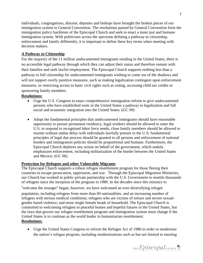individuals, congregations, diocese, deputies and bishops have brought the broken pieces of our immigration system to General Convention. The resolutions passed by General Convention form the immigration policy backbone of the Episcopal Church and seek to enact a more just and humane immigration system. With politicians across the spectrum defining a pathway to citizenship, enforcement and family differently, it is important to define these key terms when meeting with decision makers.

# **A Pathway to Citizenship**

For the majority of the 11 million undocumented immigrants residing in the United States, there is no accessible legal pathway through which they can adjust their status and therefore remain with their families and seek lawful employment. The Episcopal Church supports nothing less than a pathway to full citizenship for undocumented immigrants wishing to come out of the shadows and will not support overly punitive measures, such as making legalization contingent upon enforcement measures, or restricting access to basic civil rights such as voting, accessing child tax credits or sponsoring family members.

# **Resolutions:**

- Urge the U.S. Congress to enact comprehensive immigration reform to give undocumented persons who have established roots in the United States a pathway to legalization and full social and economic integration into the United States. (GC 09)
- Adopt the fundamental principles that undocumented immigrants should have reasonable opportunity to pursue permanent residency, legal workers should be allowed to enter the U.S. to respond to recognized labor force needs, close family members should be allowed to reunite without undue delay with individuals lawfully present in the U.S; fundamental principles of legal due process should be granted to all persons and enforcement of national borders and immigration policies should be proportional and humane. Furthermore, the Episcopal Church deplores any action on behalf of the government, which unduly emphasizes enforcement, including militarization of the border between the United States and Mexico. (GC 06)

# **Protection for Refugees and other Vulnerable Migrants**

The Episcopal Church supports a robust refugee resettlement program for those fleeing their countries to escape persecution, oppression, and war. Through the Episcopal Migration Ministries, our Church has worked in public-private partnership with the U.S. Government to resettle thousands of refugees since the inception of the program in 1980. In the decades since this ministry to

"welcome the stranger" began, however, we have welcomed an ever-diversifying refugee population, including refugees from more than 69 nationalities, and an increasing number of refugees with serious medical conditions; refugees who are victims of torture and severe sexualgender based violence; and more single female heads of household. The Episcopal Church is committed to welcoming refugees to peaceful homes and hopeful futures in the United States, but the laws that govern our refugee resettlement program and immigration system must change if the United States is to continue as the world leader in humanitarian resettlement. **Resolutions:**

 Urge the United States Congress to reform the Refugee Act of 1980 in order to modernize the nation's refugee program, including modernizations such as but not limited to meeting

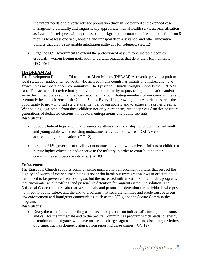the urgent needs of a diverse refugee population through specialized and extended case management, culturally and linguistically appropriate mental health services, recertification assistance for refugees with a professional background, restoration of federal benefits from 8 months to at least one year, housing and transportation assistance, and other innovative policies that create sustainable integration pathways for refugees. (GC 12)

 Urge the U.S. government to extend the protection of asylum to vulnerable peoples, especially women fleeing mutilation or cultural practices that deny their full humanity. (EC 2/04)

# **The DREAM Act**

The Development Relief and Education for Alien Minors (DREAM) Act would provide a path to legal status for undocumented youth who arrived in this country as infants or children and have grown up as members of our communities. The Episcopal Church strongly supports the DREAM Act. This act would provide immigrant youth the opportunity to pursue higher education and/or serve the United States so that they can become fully contributing members of our communities and eventually become citizens of the United States. Every child growing up in America deserves the opportunity to grow into full stature as a member of our society and to achieve his or her dreams. Withholding legal status from these children not only hurts them, but it deprives America of future generations of dedicated citizens, innovators, entrepreneurs and public servants. **Resolutions:**

- Support federal legislation that presents a pathway to citizenship for undocumented youth and young adults while assisting undocumented youth, known as "DREAMers," in accessing higher education. (GC 12)
- Urge the U.S. government to allow undocumented youth who arrive as infants or children to pursue higher education and/or serve in the military in order to contribute to their communities and become citizens. (GC 09)

# **Enforcement**

The Episcopal Church supports common sense immigration enforcement policies that respect the dignity and worth of every human being. Those who break our immigration laws in order to do us harm need to be prevented from doing so, but the increased militarization of the border, programs that encourage racial profiling, and prison-like detention for migrants is not the solution. The Episcopal Church supports alternatives to costly and prison-like detention for individuals who pose no threat to public safety, and the end to programs that separate families and erode trust between law enforcement and immigrant communities, such as the 287-g and the Secure Communities program.

# **Resolutions:**

• Decry the use of racial profiling as a reason to question an individual's immigration status and call for the immediate end to the Secure Communities program which leads to lengthy detention of immigrants who have no serious charges against them and discourages victims of crimes, such as domestic abuse, from reporting those crimes. (GC 12)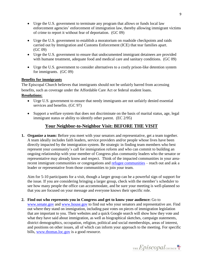- Urge the U.S. government to terminate any program that allows or funds local law enforcement agencies' enforcement of immigration law, thereby allowing immigrant victims of crime to report it without fear of deportation. (GC 09)
- Urge the U.S. government to establish a moratorium on roadside checkpoints and raids carried out by Immigration and Customs Enforcement (ICE) that tear families apart. (GC 09)
- Urge the U.S. government to ensure that undocumented immigrant detainees are provided with humane treatment, adequate food and medical care and sanitary conditions. (GC 09)
- Urge the U.S. government to consider alternatives to a costly prison-like detention system for immigrants. (GC 09)

# **Benefits for immigrants**

The Episcopal Church believes that immigrants should not be unfairly barred from accessing benefits, such as coverage under the Affordable Care Act or federal student loans.

# **Resolutions:**

- Urge U.S. government to ensure that needy immigrants are not unfairly denied essential services and benefits. (GC 97)
- Support a welfare system that does not discriminate on the basis of marital status, age, legal immigrant status or ability to identify other parent. (EC 2/95)

# **Your Neighbor-to-Neighbor Visit: BEFORE THE VISIT**

**1. Organize a team:** Before you meet with your senators and representative, get a team together. A team ideally includes faith leaders, service providers and/or people whose lives have been directly impacted by the immigration system. Be strategic in finding team members who best represent your community's call for immigration reform and who can commit to building an ongoing relationship with your member of Congress plus community leaders who the senator or representative may already know and respect. Think of the impacted communities in your arearecent immigrant communities or congregations and [refugee communities](http://episcopalmigrationministries.org/where_we_work/emm_affiliate_network_map.aspx) – reach out and ask a leader or representative from those communities to join your team.

Aim for 5-10 participants for a visit, though a larger group can be a powerful sign of support for the issue. If you are considering bringing a larger group, check with the member's scheduler to see how many people the office can accommodate, and be sure your meeting is well-planned so that you are focused on your message and everyone knows their specific role.

**2. Find out who represents you in Congress and get to know your audience:** Go to [www.senate.gov](http://www.senate.gov/) and [www.house.gov](http://www.house.gov/) to find out who your senators and representative are. Find out where they stand on immigration, including past votes on pieces of immigration legislation that are important to you. Their websites and a quick Google search will show how they vote and what they have said about immigration, as well as biographical sketches, campaign statements, district demographics, occupation, religion, political and social memberships, areas of interest, and positions on other issues, all of which can inform your approach to the meeting. For specific bills, [www.thomas.loc.gov](http://www.thomas.loc.gov/) is a good resource.

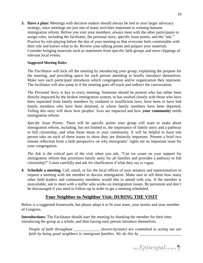**3. Have a plan:** Meetings with decision makers should always be tied to your larger advocacy strategy, since meetings are just one of many activities important to winning humane immigration reform. Before you visit your members, *always* meet with the other participants to assign roles, including the facilitator, the personal story, specific issue points, and the "ask." Practice by role-playing before the day of your meeting so that everyone feels comfortable with their role and knows what to do. Review your talking points and prepare your materials. Consider bringing materials such as statements from specific faith groups and news clippings of relevant local events.

# **Suggested Meeting Roles:**

*The Facilitator* will kick off the meeting by introducing your group, explaining the purpose for the meeting, and providing space for each person attending to briefly introduce themselves. Make sure each participant introduces which congregation and/or organization they represent. The facilitator will also jump in if the meeting goes off-track and redirect the conversation.

*The Personal Story* is key to every meeting. Someone should be present who has either been directly impacted by the broken immigration system, or has worked closely with those who have been separated from family members by outdated or insufficient laws, have been or have had family members who have been detained, or whose family members have been deported. Telling this story will show how peoples' lives are impacted and how **your community** needs immigration reform.

*Specific Issue Points:* There will be specific points your group will want to make about immigration reform, including, but not limited to, the importance of family unity and a pathway to full citizenship, and what those mean to your community. It will be helpful to have one person take on each of these issues to show they are distinctly important. Present a brief two minute reflection from a faith perspective on why immigrants' rights are an important issue for your congregation.

*The Ask* is the critical part of the visit when you ask, "Can we count on your support for immigration reform that prioritizes family unity for all families and provides a pathway to full citizenship?" Listen carefully and ask for clarification if what they say is vague.

**4. Schedule a meeting.** Call, email, or fax the local offices of your senators and representatives to request a meeting with the member to discuss immigration. Make sure to tell them how many other faith leaders and community members would like to attend with you. If the member is unavailable, ask to meet with a staffer who works on immigration issues. Be persistent and don't be discouraged if you need to follow-up in order to get a meeting scheduled.

# **Your Neighbor-to-Neighbor Visit: DURING THE VISIT**

Below is a suggested framework, but please adapt it to fit your team, your stories and your member of Congress.

**Introductions:** The Facilitator should start the meeting by thanking the member for their time, introducing the group as a whole, and then having each person introduce themselves.

*People of faith throughout* \_\_\_\_\_\_\_\_\_\_\_\_\_ (town/city/state) are committed to acting out our *faith by being good neighbors to immigrant families. We do this by \_\_\_\_\_\_\_\_\_\_\_\_\_\_\_\_\_\_\_\_\_* 

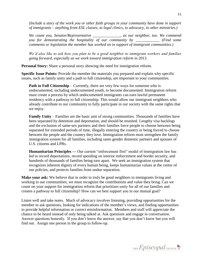*(Include a story of the work you or other faith groups in your community have done in support of immigrants – anything from ESL classes, to legal clinics, to advocacy, to other ministries.)* 

*We count you, Senator/Representative \_\_\_\_\_\_\_\_\_\_\_\_\_\_, as our neighbor, too. We commend you for demonstrating the hospitality of our community by \_\_\_\_\_\_\_\_\_\_\_\_ (Find some comments or legislation the member has worked on in support of immigrant communities.)*

*We'd also like to ask how you plan to be a good neighbor to immigrant workers and families going forward, especially as we work toward immigration reform in 2013.*

**Personal Story:** Share a personal story showing the need for immigration reform.

**Specific Issue Points:** Provide the member the materials you prepared and explain why specific issues, such as family unity and a path to full citizenship, are important to your communities.

**Path to Full Citizenship** – Currently, there are very few ways for someone who is undocumented, including undocumented youth, to become documented. Immigration reform must create a process by which undocumented immigrants can earn lawful permanent residency with a pathway to full citizenship. This would allow our immigrant neighbors who already contribute to our community to fully participate in our society with the same rights that we enjoy.

**Family Unity** – Families are the basic unit of strong communities. Thousands of families have been separated by detention and deportation, and should be reunited. Lengthy visa backlogs and the exclusion of same-sex partners and their families force people to choose between being separated for extended periods of time, illegally entering the country or being forced to choose between the people and the country they love. Immigration reform must strengthen the family immigration system for all families, including same gender domestic partners and spouses of U.S. citizens and LPRs.

**Humanitarian Principles —** Our current "enforcement first" model of immigration law has led to record deportations, record spending on interior enforcement and border security, and hundreds of thousands of families being torn apart. We seek an immigration system that recognizes inherent dignity of every human being, keeps humanitarian values at the center of our policies, and protects families from undue separation.

**Make your ask:** We believe that in order to truly be good neighbors to immigrants living and working in our communities, we must recognize the contributions and value they bring. Can we count on your support for immigration reform that prioritizes unity for all of our families and creates a pathway to full citizenship? How can we best support you in our mutual goal?

Listen well and take notes. Much of advocacy involves listening, providing opportunities for the member to ask questions, looking for indications of the member's views, and finding opportunities to provide helpful information or correct misinformation. Members and staff will appreciate the chance to be heard instead of only being talked at. Ask questions and engage in conversation. Answer questions honestly. If you don't know the answer, say that you don't know but you will find out. Assign one person in the group to follow-up.

THE  $Epis copal$ <sub>CHURCH</sub>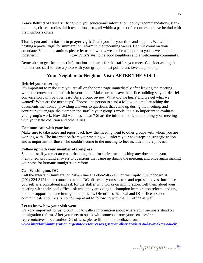**Leave Behind Materials:** Bring with you educational information, policy recommendations, signon letters, charts, studies, faith resolutions, etc., all within a packet of resources to leave behind with the member's office.

**Thank you and invitation to prayer vigil:** Thank you for your time and support. We will be hosting a prayer vigil for immigration reform in the upcoming weeks. Can we count on your attendance? In the meantime, please let us know how we can be a support to you as we all come together in  $(town/city/state)$  to be good neighbors and a welcoming community.

Remember to get the contact information and cards for the staffers you meet. Consider asking the member and staff to take a photo with your group – most politicians love the photo op!

# **Your Neighbor-to-Neighbor Visit: AFTER THE VISIT**

# **Debrief your meeting**

It's important to make sure you are all on the same page immediately after leaving the meeting, while the conversation is fresh in your mind. Make sure to leave the office building so your debrief conversation can't be overheard. As a group, review: What did we hear? Did we get what we wanted? What are the next steps? Choose one person to send a follow-up email attaching the documents mentioned, providing answers to questions that came up during the meeting, and continuing to engage the member and staff in your group's work. It's also important to evaluate your group's work. How did we do as a team? Share the information learned during your meeting with your state coalition and other allies.

# **Communicate with your base**

Make sure to take notes and report back how the meeting went to other groups with whom you are working with. The information from your meeting will inform your next steps on strategic action and is important for those who couldn't come to the meeting to feel included in the process.

### **Follow up with your member of Congress**

Send the staff you met an email thanking them for their time, attaching any documents you mentioned, providing answers to questions that came up during the meeting, and once again making your case for humane immigration reform.

### **Call Washington, DC**

Call the Interfaith Immigration call-in line at 1-866-940-2439 or the Capitol Switchboard at (202) 224-3121 to be connected to the DC offices of your senators and representatives. Introduce yourself as a constituent and ask for the staffer who works on immigration. Tell them about your meeting with their local office, ask what they are doing to champion immigration reform, and urge them to support humane immigration policies. Oftentimes the local and DC offices do not communicate about visits, so it's important to follow up with the DC office as well.

# **Let us know how your visit went**

It's very important for us to continue to gather information about where your members stand on immigration reform. After you meet or speak with someone from your senators' and representatives' local and/or DC offices, please fill out this feedback form: **[www.interfaithimmigration.org/state-resources/register-in-district-visits-to-lawmakers-on-cir](http://www.interfaithimmigration.org/state-resources/register-in-district-visits-to-lawmakers-on-cir)**.

THE  $Epis copal$ <sub>CHURCH</sub>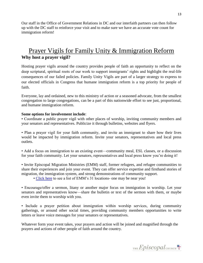Our staff in the Office of Government Relations in DC and our interfaith partners can then follow up with the DC staff to reinforce your visit and to make sure we have an accurate vote count for immigration reform!

# Prayer Vigils for Family Unity & Immigration Reform **Why host a prayer vigil?**

Hosting prayer vigils around the country provides people of faith an opportunity to reflect on the deep scriptural, spiritual roots of our work to support immigrants' rights and highlight the real-life consequences of our failed policies. Family Unity Vigils are part of a larger strategy to express to our elected officials in Congress that humane immigration reform is a top priority for people of faith.

Everyone, lay and ordained, new to this ministry of action or a seasoned advocate, from the smallest congregation to large congregations, can be a part of this nationwide effort to see just, proportional, and humane immigration reform.

# **Some options for involvement include**:

• Coordinate a public prayer vigil with other places of worship, inviting community members and your senators and representatives. Publicize it through bulletins, websites and flyers.

• Plan a prayer vigil for your faith community, and invite an immigrant to share how their lives would be impacted by immigration reform. Invite your senators, representatives and local press outlets.

• Add a focus on immigration to an existing event—community meal, ESL classes, or a discussion for your faith community. Let your senators, representatives and local press know you're doing it!

• Invite Episcopal Migration Ministries (EMM) staff, former refugees, and refugee communities to share their experiences and join your event. They can offer service expertise and firsthand stories of migration, the immigration system, and strong demonstrations of community support.

• [Click here](http://episcopalmigrationministries.org/where_we_work/emm_affiliate_network_map.aspx) to see a list of EMM's 31 locations- one may be near you!

• Encourage/offer a sermon, litany or another major focus on immigration in worship. Let your senators and representatives know—share the bulletin or text of the sermon with them, or maybe even invite them to worship with you.

• Include a prayer petition about immigration within worship services, during community gatherings, or around other social times, providing community members opportunities to write letters or leave voice messages for your senators or representatives.

Whatever form your event takes, your prayers and action will be joined and magnified through the prayers and actions of other people of faith around the country.

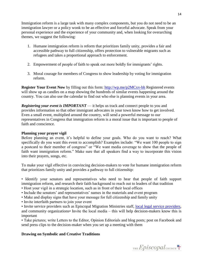Immigration reform is a large task with many complex components, but you do not need to be an immigration lawyer or a policy wonk to be an effective and forceful advocate. Speak from your personal experience and the experience of your community and, when looking for overarching themes, we suggest the following:

- 1. Humane immigration reform is reform that prioritizes family unity, provides a fair and accessible pathway to full citizenship, offers protection to vulnerable migrants such as refugees and takes a proportional approach to enforcement.
- 2. Empowerment of people of faith to speak out more boldly for immigrants' rights.
- 3. Moral courage for members of Congress to show leadership by voting for immigration reform.

**Register Your Event Now** by filling out this form:<http://wp.me/p2MCxv-bh> Registered events will show up as candles on a map showing the hundreds of similar events happening around the country. You can also use the calendar to find out who else is planning events in your area.

*Registering your event is IMPORTANT* — it helps us track and connect people to you and provides information so that other immigrant advocates in your town know how to get involved. Even a small event, multiplied around the country, will send a powerful message to our representatives in Congress that immigration reform is a moral issue that is important to people of faith and conscience.

# **Planning your prayer vigil**

Before planning an event, it's helpful to define your goals. Who do you want to reach? What specifically do you want this event to accomplish? Examples include: "We want 100 people to sign a postcard to their member of congress" or "We want media coverage to show that the people of faith want immigration reform." Make sure that all speakers find a way to incorporate this vision into their prayers, songs, etc.

To make your vigil effective in convincing decision-makers to vote for humane immigration reform that prioritizes family unity and provides a pathway to full citizenship:

• Identify your senators and representatives who need to hear that people of faith support immigration reform, and research their faith background to reach out to leaders of that tradition

- Host your vigil in a strategic location, such as in front of their local offices
- Include the senators' and representatives' names in the materials and event program
- Make and display signs that have your message for full citizenship and family unity
- Invite interfaith partners to join your event

• Invite service providers such as Episcopal Migration Ministries staff, [local legal service providers,](http://cliniclegal.org/affiliates) and community organizations• Invite the local media – this will help decision-makers know this is important

• Take pictures; write Letters to the Editor, Opinion Editorials and blog posts; post on Facebook and send press clips to the decision-maker when you set up a meeting with them

# **Drawing on Symbolic and Creative Traditions**

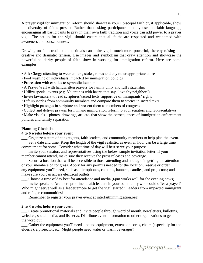A prayer vigil for immigration reform should showcase your Episcopal faith or, if applicable, show the diversity of faiths present. Rather than asking participants to only use interfaith language, encouraging all participants to pray in their own faith tradition and voice can add power to a prayer vigil. The set-up for the vigil should ensure that all faiths are respected and welcomed with awareness and consciousness.

Drawing on faith traditions and rituals can make vigils much more powerful, thereby raising the creative and dramatic tension. Use images and symbolism that draw attention and showcase the powerful solidarity people of faith show in working for immigration reform. Here are some examples:

- Ask Clergy attending to wear collars, stoles, robes and any other appropriate attire
- Foot washing of individuals impacted by immigration policies
- Procession with candles to symbolic location
- A Prayer Wall with handwritten prayers for family unity and full citizenship
- Utilize special events (e.g. Valentines with hearts that say "love thy neighbor")
- Invite lawmakers to read scriptures/sacred texts supportive of immigrants' rights
- Lift up stories from community members and compare them to stories in sacred texts
- Highlight passages in scripture and present them to members of congress
- Collect and deliver prayers for humane immigration reform to your senators and representatives

• Make visuals – photos, drawings, art, etc. that show the consequences of immigration enforcement policies and family separation

# **Planning Checklist**

### **4 to 6 weeks before your event**

\_\_\_ Organize a team of congregants, faith leaders, and community members to help plan the event. \_\_\_ Set a date and time. Keep the length of the vigil realistic, as even an hour can be a large time commitment for some. Consider what time of day will best serve your purpose.

\_\_\_ Invite your senators and representatives using the below sample invitation letter. If your member cannot attend, make sure they receive the press releases and coverage.

\_\_\_ Secure a location that will be accessible to those attending and strategic in getting the attention of your members of congress. Apply for any permits needed for the location; reserve or order any equipment you'll need, such as microphones, cameras, banners, candles, and projectors; and make sure you can access electrical outlets.

\_\_\_ Choose a time of day best for attendance and media (6pm works well for the evening news)

\_\_\_ Invite speakers. Are there prominent faith leaders in your community who could offer a prayer? Who might serve well as a leader/emcee to get the vigil started? Leaders from impacted immigrant and refugee communities?

\_\_\_ Remember to register your prayer event at interfaithimmigration.org!

### **2 to 3 weeks before your event**

\_\_\_ Create promotional materials and invite people through word of mouth, newsletters, bulletins, websites, social media, and listservs. Distribute event information to other organizations to get the word out.

Gather the equipment you'll need—sound equipment, extension cords, chairs (especially for the elderly), a projector, etc. Might people need water or warm beverages?

THE  $Epis copal$ <sub>CHURCH</sub>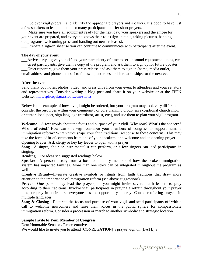Go over vigil program and identify the appropriate prayers and speakers. It's good to have just a few speakers to lead, but plan for many participants to offer short prayers.

\_\_\_ Make sure you have all equipment ready for the next day, your speakers and the emcee for your event are prepared, and everyone knows their role (sign-in table, taking pictures, handing out programs, welcoming press and handing out news releases).

Prepare a sign-in sheet so you can continue to communicate with participants after the event.

#### **The day of your event**

\_\_\_Arrive early—give yourself and your team plenty of time to set-up sound equipment, tables, etc.

Greet participants, give them a copy of the program and ask them to sign up for future updates. Greet reporters, give them your press release and ask them to sign in (name, media outlet,

email address and phone number) to follow up and to establish relationships for the next event.

#### **After the event**

Send thank you notes, photos, video, and press clips from your event to attendees and your senators and representatives. Consider writing a blog post and share it on your website or at the EPPN website: <http://episcopal.grassroots.com/stories>

Below is one example of how a vigil might be ordered, but your program may look very different consider the resources within your community or core planning group (an exceptional church choir or cantor, local poet, sign language translator, artist, etc.), and use them to plan your vigil program.

**Welcome**—A few words about the focus and purpose of your vigil. Why now? What's the concern? Who's affected? How can this vigil convince your members of congress to support humane immigration reform? What values shape your faith traditions' response to these concerns? This may take the form of brief comments from one of your speakers, or a welcome and an opening prayer.

Opening Prayer: Ask clergy or key lay leader to open with a prayer.

**Song**—A singer, choir or instrumentalist can perform, or a few singers can lead participants in singing.

**Reading**—For ideas see suggested readings below.

**Speaker**—A personal story from a local community member of how the broken immigration system has impacted families. More than one story can be integrated throughout the program as well.

**Creative Ritual—**Integrate creative symbols or rituals from faith traditions that draw more attention to the importance of immigration reform (see above suggestions).

**Prayer—One** person may lead the prayers, or you might invite several faith leaders to pray according to their traditions. Involve vigil participants in praying a refrain throughout your prayer time, or pray in a circle so everyone has the opportunity to pray. Consider offering prayers in multiple languages.

**Song & Closing**—Reiterate the focus and purpose of your vigil, and send participants off with a call to welcome newcomers and raise their voices in the public sphere for compassionate immigration reform. Consider a procession or march to another symbolic and strategic location.

### **Sample Invite to Your Member of Congress**

Dear Honorable Senator / Representative,

We would like to invite you to attend [CONREGATION]'s prayer vigil on [DATE] at

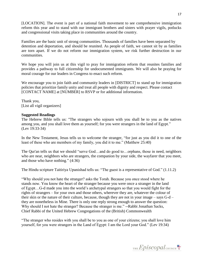[LOCATION]. The event is part of a national faith movement to see comprehensive immigration reform this year and to stand with our immigrant brothers and sisters with prayer vigils, potlucks and congressional visits taking place in communities around the country.

Families are the basic unit of strong communities. Thousands of families have been separated by detention and deportation, and should be reunited. As people of faith, we cannot sit by as families are torn apart. If we do not reform our immigration system, we risk further destruction in our communities.

We hope you will join us at this vigil to pray for immigration reform that reunites families and provides a pathway to full citizenship for undocumented immigrants. We will also be praying for moral courage for our leaders in Congress to enact such reform.

We encourage you to join faith and community leaders in [DISTRICT] to stand up for immigration policies that prioritize family unity and treat all people with dignity and respect. Please contact [CONTACT NAME] at [NUMBER] to RSVP or for additional information.

Thank you, [List all vigil organizers]

# **Suggested Readings**

The Hebrew Bible tells us: "The strangers who sojourn with you shall be to you as the natives among you, and you shall love them as yourself; for you were strangers in the land of Egypt." (Lev 19:33-34)

In the New Testament, Jesus tells us to welcome the stranger, "for just as you did it to one of the least of these who are members of my family, you did it to me." (Matthew 25:40)

The Qur'an tells us that we should "serve God…and do good to…orphans, those in need, neighbors who are near, neighbors who are strangers, the companion by your side, the wayfarer that you meet, and those who have nothing." (4:36)

The Hindu scripture Taitiriya Upanishad tells us: "The guest is a representative of God." (1.11.2)

"Why should you not hate the stranger? asks the Torah. Because you once stood where he stands now. You know the heart of the stranger because you were once a stranger in the land of Egypt…G-d made you into the world's archetypal strangers so that you would fight for the rights of strangers – for your own and those others, wherever they are, whatever the colour of their skin or the nature of their culture, because, though they are not in your image – says G-d – they are nonetheless in Mine. There is only one reply strong enough to answer the question: Why should I not hate the stranger? Because the stranger is me." --Rabbi Jonathan Sacks, Chief Rabbi of the United Hebrew Congregations of the (British) Commonwealth

"The stranger who resides with you shall be to you as one of your citizens; you shall love him yourself, for you were strangers in the Land of Egypt: I am the Lord your God." (Lev 19:34)

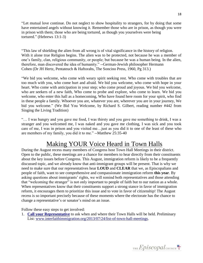"Let mutual love continue. Do not neglect to show hospitality to strangers, for by doing that some have entertained angels without knowing it. Remember those who are in prison, as though you were in prison with them; those who are being tortured, as though you yourselves were being tortured." (Hebrews 13:1-3)

"This law of shielding the alien from all wrong is of vital significance in the history of religion. With it alone true Religion begins. The alien was to be protected, not because he was a member of one's family, clan, religious community, or people; but because he was a human being. In the alien, therefore, man discovered the idea of humanity." --German-Jewish philosopher Hermann Cohen (Dr JH Hertz, Pentateuch & Haftorahs, The Soncino Press, 1960, Pg 313.)

"We bid you welcome, who come with weary spirit seeking rest. Who come with troubles that are too much with you, who come hurt and afraid. We bid you welcome, who come with hope in your heart. Who come with anticipation in your step; who come proud and joyous. We bid you welcome, who are seekers of a new faith, Who come to probe and explore, who come to learn. We bid you welcome, who enter this hall as a homecoming, Who have found here room for your spirit, who find in these people a family. Whoever you are, whatever you are, wherever you are in your journey, We bid you welcome." (We Bid You Welcome, by Richard S. Gilbert, reading number #442 from Singing the Living Tradition)

"… I was hungry and you gave me food, I was thirsty and you gave me something to drink, I was a stranger and you welcomed me, I was naked and you gave me clothing, I was sick and you took care of me, I was in prison and you visited me…just as you did it to one of the least of these who are members of my family, you did it to me." --Matthew 25:35-40

# Making YOUR Voice Heard in Town Halls

During the August recess many members of Congress host Town Hall Meetings in their district. Open to the public, these meetings are a chance for members to hear directly from their constituents about the key issues before Congress. This August, immigration reform is likely to be a frequently discussed topic, and we already know that anti-immigrant groups will be present. That is why we need to make sure that our representatives hear **LOUD** and **CLEAR** that we, as Episcopalians and people of faith, want to see comprehensive and compassionate immigration reform **this year**. By asking questions about immigrants' rights, we will remind both representatives and those attending that "welcoming the stranger" is not only important to people of faith but to our nation as a whole. When representatives know that their constituents support a strong stance in favor of immigration reform, it encourages them to prioritize this issue and to vote in favor of citizenship! The August recess is so important precisely because of these moments where the electorate has the chance to change a representative's or senator's mind on an issue.

Follow these easy steps to get involved:

1. **[Call your Representative](http://www.house.gov/)** to ask when and where their Town Halls will be held. Preliminary List: [www.interfaithimmigration.org/2013/07/24/list-of-town-hall-meetings.](http://www.interfaithimmigration.org/2013/07/24/list-of-town-hall-meetings/)

THE  $Epis copal$ <sub>CHURCH</sub>